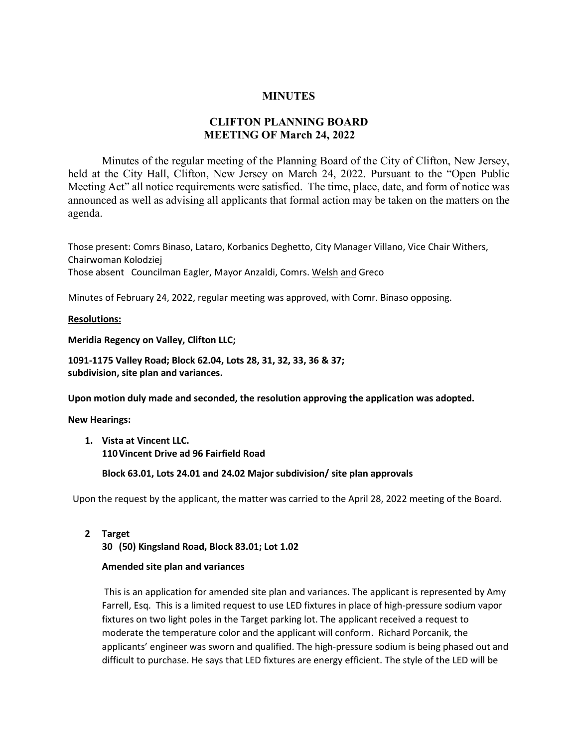## **MINUTES**

## **CLIFTON PLANNING BOARD MEETING OF March 24, 2022**

Minutes of the regular meeting of the Planning Board of the City of Clifton, New Jersey, held at the City Hall, Clifton, New Jersey on March 24, 2022. Pursuant to the "Open Public Meeting Act" all notice requirements were satisfied. The time, place, date, and form of notice was announced as well as advising all applicants that formal action may be taken on the matters on the agenda.

Those present: Comrs Binaso, Lataro, Korbanics Deghetto, City Manager Villano, Vice Chair Withers, Chairwoman Kolodziej Those absent Councilman Eagler, Mayor Anzaldi, Comrs. Welsh and Greco

Minutes of February 24, 2022, regular meeting was approved, with Comr. Binaso opposing.

**Resolutions:**

**Meridia Regency on Valley, Clifton LLC;** 

**1091-1175 Valley Road; Block 62.04, Lots 28, 31, 32, 33, 36 & 37; subdivision, site plan and variances.**

**Upon motion duly made and seconded, the resolution approving the application was adopted.**

**New Hearings:**

**1. Vista at Vincent LLC. 110Vincent Drive ad 96 Fairfield Road**

**Block 63.01, Lots 24.01 and 24.02 Major subdivision/ site plan approvals**

Upon the request by the applicant, the matter was carried to the April 28, 2022 meeting of the Board.

**2 Target**

**30 (50) Kingsland Road, Block 83.01; Lot 1.02**

## **Amended site plan and variances**

This is an application for amended site plan and variances. The applicant is represented by Amy Farrell, Esq. This is a limited request to use LED fixtures in place of high-pressure sodium vapor fixtures on two light poles in the Target parking lot. The applicant received a request to moderate the temperature color and the applicant will conform. Richard Porcanik, the applicants' engineer was sworn and qualified. The high-pressure sodium is being phased out and difficult to purchase. He says that LED fixtures are energy efficient. The style of the LED will be